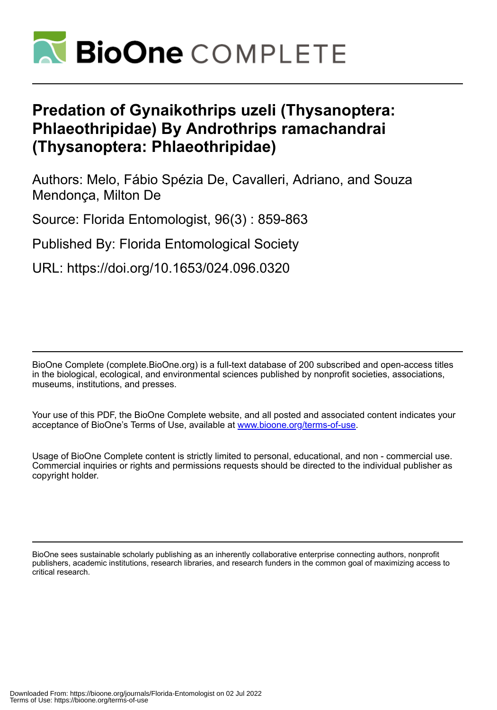

# **Predation of Gynaikothrips uzeli (Thysanoptera: Phlaeothripidae) By Androthrips ramachandrai (Thysanoptera: Phlaeothripidae)**

Authors: Melo, Fábio Spézia De, Cavalleri, Adriano, and Souza Mendonça, Milton De

Source: Florida Entomologist, 96(3) : 859-863

Published By: Florida Entomological Society

URL: https://doi.org/10.1653/024.096.0320

BioOne Complete (complete.BioOne.org) is a full-text database of 200 subscribed and open-access titles in the biological, ecological, and environmental sciences published by nonprofit societies, associations, museums, institutions, and presses.

Your use of this PDF, the BioOne Complete website, and all posted and associated content indicates your acceptance of BioOne's Terms of Use, available at www.bioone.org/terms-of-use.

Usage of BioOne Complete content is strictly limited to personal, educational, and non - commercial use. Commercial inquiries or rights and permissions requests should be directed to the individual publisher as copyright holder.

BioOne sees sustainable scholarly publishing as an inherently collaborative enterprise connecting authors, nonprofit publishers, academic institutions, research libraries, and research funders in the common goal of maximizing access to critical research.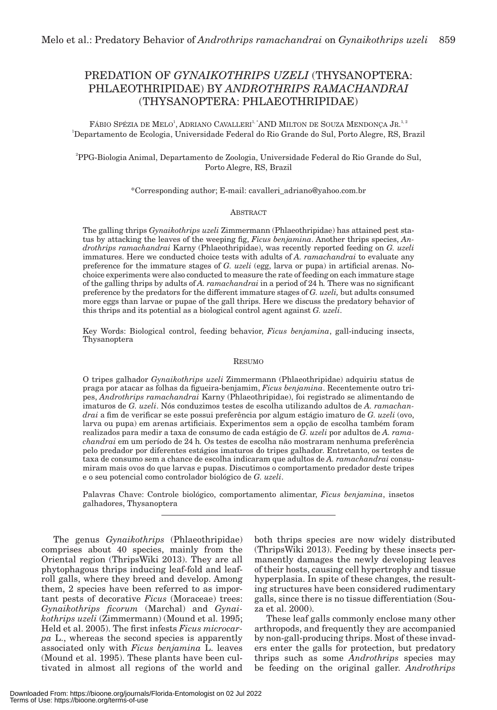# PREDATION OF *GYNAIKOTHRIPS UZELI* (THYSANOPTERA: PHLAEOTHRIPIDAE) BY *ANDROTHRIPS RAMACHANDRAI* (THYSANOPTERA: PHLAEOTHRIPIDAE)

FÁBIO SPÉZIA DE MELO<sup>1</sup>, ADRIANO CAVALLERI<sup>1,</sup> AND MILTON DE SOUZA MENDONÇA JR.<sup>1,2</sup> 1 Departamento de Ecologia, Universidade Federal do Rio Grande do Sul, Porto Alegre, RS, Brazil

2 PPG-Biologia Animal, Departamento de Zoologia, Universidade Federal do Rio Grande do Sul, Porto Alegre, RS, Brazil

\*Corresponding author; E-mail: cavalleri\_adriano@yahoo.com.br

## ABSTRACT

The galling thrips *Gynaikothrips uzeli* Zimmermann (Phlaeothripidae) has attained pest status by attacking the leaves of the weeping fig, *Ficus benjamina*. Another thrips species, *Androthrips ramachandrai* Karny (Phlaeothripidae), was recently reported feeding on *G. uzeli* immatures. Here we conducted choice tests with adults of *A. ramachandrai* to evaluate any preference for the immature stages of *G. uzeli* (egg, larva or pupa) in artificial arenas. Nochoice experiments were also conducted to measure the rate of feeding on each immature stage of the galling thrips by adults of *A. ramachandrai* in a period of 24 h*.* There was no significant preference by the predators for the different immature stages of *G. uzeli,* but adults consumed more eggs than larvae or pupae of the gall thrips. Here we discuss the predatory behavior of this thrips and its potential as a biological control agent against *G. uzeli*.

Key Words: Biological control, feeding behavior, *Ficus benjamina*, gall-inducing insects, Thysanoptera

#### RESUMO

O tripes galhador *Gynaikothrips uzeli* Zimmermann (Phlaeothripidae) adquiriu status de praga por atacar as folhas da figueira-benjamim, *Ficus benjamina*. Recentemente outro tripes, *Androthrips ramachandrai* Karny (Phlaeothripidae), foi registrado se alimentando de imaturos de *G. uzeli*. Nós conduzimos testes de escolha utilizando adultos de *A. ramachandrai* a fim de verificar se este possui preferência por algum estágio imaturo de *G. uzeli* (ovo, larva ou pupa) em arenas artificiais. Experimentos sem a opção de escolha também foram realizados para medir a taxa de consumo de cada estágio de *G. uzeli* por adultos de *A. ramachandrai* em um período de 24 h*.* Os testes de escolha não mostraram nenhuma preferência pelo predador por diferentes estágios imaturos do tripes galhador. Entretanto, os testes de taxa de consumo sem a chance de escolha indicaram que adultos de *A. ramachandrai* consumiram mais ovos do que larvas e pupas. Discutimos o comportamento predador deste tripes e o seu potencial como controlador biológico de *G. uzeli*.

Palavras Chave: Controle biológico, comportamento alimentar, *Ficus benjamina*, insetos galhadores, Thysanoptera

The genus *Gynaikothrips* (Phlaeothripidae) comprises about 40 species, mainly from the Oriental region (ThripsWiki 2013). They are all phytophagous thrips inducing leaf-fold and leafroll galls, where they breed and develop. Among them, 2 species have been referred to as important pests of decorative *Ficus* (Moraceae) trees: *Gynaikothrips ficorum* (Marchal) and *Gynaikothrips uzeli* (Zimmermann) (Mound et al. 1995; Held et al. 2005). The first infests *Ficus microcarpa* L., whereas the second species is apparently associated only with *Ficus benjamina* L. leaves (Mound et al. 1995). These plants have been cultivated in almost all regions of the world and

both thrips species are now widely distributed (ThripsWiki 2013). Feeding by these insects permanently damages the newly developing leaves of their hosts, causing cell hypertrophy and tissue hyperplasia. In spite of these changes, the resulting structures have been considered rudimentary galls, since there is no tissue differentiation (Souza et al. 2000).

These leaf galls commonly enclose many other arthropods, and frequently they are accompanied by non-gall-producing thrips. Most of these invaders enter the galls for protection, but predatory thrips such as some *Androthrips* species may be feeding on the original galler. *Androthrips*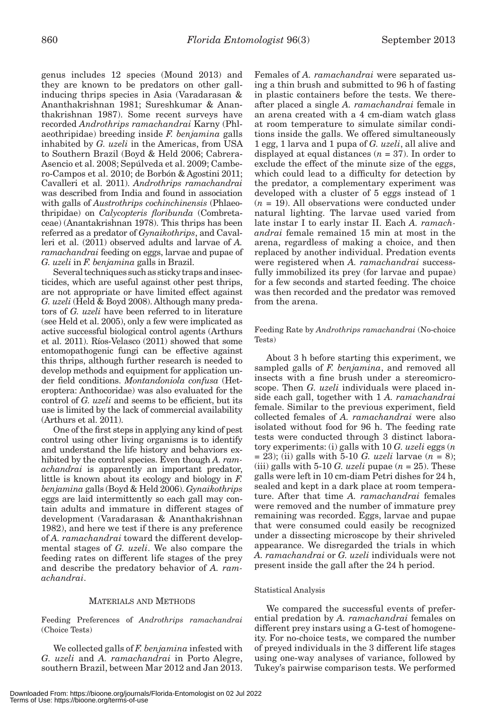genus includes 12 species (Mound 2013) and they are known to be predators on other gallinducing thrips species in Asia (Varadarasan & Ananthakrishnan 1981; Sureshkumar & Ananthakrishnan 1987). Some recent surveys have recorded *Androthrips ramachandrai* Karny (Phlaeothripidae) breeding inside *F. benjamina* galls inhabited by *G. uzeli* in the Americas, from USA to Southern Brazil (Boyd & Held 2006; Cabrera-Asencio et al. 2008; Sepúlveda et al. 2009; Cambero-Campos et al. 2010; de Borbón & Agostini 2011; Cavalleri et al. 2011). *Androthrips ramachandrai* was described from India and found in association with galls of *Austrothrips cochinchinensis* (Phlaeothripidae) on *Calycopteris floribunda* (Combretaceae) (Anantakrishnan 1978). This thrips has been referred as a predator of *Gynaikothrips*, and Cavalleri et al. (2011) observed adults and larvae of *A. ramachandrai* feeding on eggs, larvae and pupae of *G. uzeli* in *F. benjamina* galls in Brazil.

Several techniques such as sticky traps and insecticides, which are useful against other pest thrips, are not appropriate or have limited effect against *G. uzeli* (Held & Boyd 2008). Although many predators of *G. uzeli* have been referred to in literature (see Held et al. 2005), only a few were implicated as active successful biological control agents (Arthurs et al. 2011). Ríos-Velasco (2011) showed that some entomopathogenic fungi can be effective against this thrips, although further research is needed to develop methods and equipment for application under field conditions. *Montandoniola confusa* (Heteroptera: Anthocoridae) was also evaluated for the control of *G. uzeli* and seems to be efficient, but its use is limited by the lack of commercial availability (Arthurs et al. 2011).

One of the first steps in applying any kind of pest control using other living organisms is to identify and understand the life history and behaviors exhibited by the control species. Even though *A. ramachandrai* is apparently an important predator, little is known about its ecology and biology in *F. benjamina* galls (Boyd & Held 2006). *Gynaikothrips* eggs are laid intermittently so each gall may contain adults and immature in different stages of development (Varadarasan & Ananthakrishnan 1982), and here we test if there is any preference of *A. ramachandrai* toward the different developmental stages of *G. uzeli*. We also compare the feeding rates on different life stages of the prey and describe the predatory behavior of *A. ramachandrai*.

# MATERIALS AND METHODS

Feeding Preferences of *Androthrips ramachandrai* (Choice Tests)

We collected galls of *F. benjamina* infested with *G. uzeli* and *A. ramachandrai* in Porto Alegre, southern Brazil, between Mar 2012 and Jan 2013. Females of *A. ramachandrai* were separated using a thin brush and submitted to 96 h of fasting in plastic containers before the tests. We thereafter placed a single *A. ramachandrai* female in an arena created with a 4 cm-diam watch glass at room temperature to simulate similar conditions inside the galls. We offered simultaneously 1 egg, 1 larva and 1 pupa of *G. uzeli*, all alive and displayed at equal distances (*n* = 37). In order to exclude the effect of the minute size of the eggs, which could lead to a difficulty for detection by the predator, a complementary experiment was developed with a cluster of 5 eggs instead of 1  $(n = 19)$ . All observations were conducted under natural lighting. The larvae used varied from late instar I to early instar II. Each *A. ramachandrai* female remained 15 min at most in the arena, regardless of making a choice, and then replaced by another individual. Predation events were registered when *A. ramachandrai* successfully immobilized its prey (for larvae and pupae) for a few seconds and started feeding. The choice was then recorded and the predator was removed from the arena.

Feeding Rate by *Androthrips ramachandrai* (No-choice Tests)

About 3 h before starting this experiment, we sampled galls of *F. benjamina*, and removed all insects with a fine brush under a stereomicroscope. Then *G. uzeli* individuals were placed inside each gall, together with 1 *A. ramachandrai*  female. Similar to the previous experiment, field collected females of *A. ramachandrai* were also isolated without food for 96 h. The feeding rate tests were conducted through 3 distinct laboratory experiments: (i) galls with 10 *G. uzeli* eggs (*n*  = 23); (ii) galls with 5-10 *G. uzeli* larvae (*n* = 8); (iii) galls with 5-10 *G. uzeli* pupae  $(n = 25)$ . These galls were left in 10 cm-diam Petri dishes for 24 h, sealed and kept in a dark place at room temperature. After that time *A. ramachandrai* females were removed and the number of immature prey remaining was recorded. Eggs, larvae and pupae that were consumed could easily be recognized under a dissecting microscope by their shriveled appearance. We disregarded the trials in which *A. ramachandrai* or *G. uzeli* individuals were not present inside the gall after the 24 h period.

#### Statistical Analysis

We compared the successful events of preferential predation by *A. ramachandrai* females on different prey instars using a G-test of homogeneity. For no-choice tests, we compared the number of preyed individuals in the 3 different life stages using one-way analyses of variance, followed by Tukey's pairwise comparison tests. We performed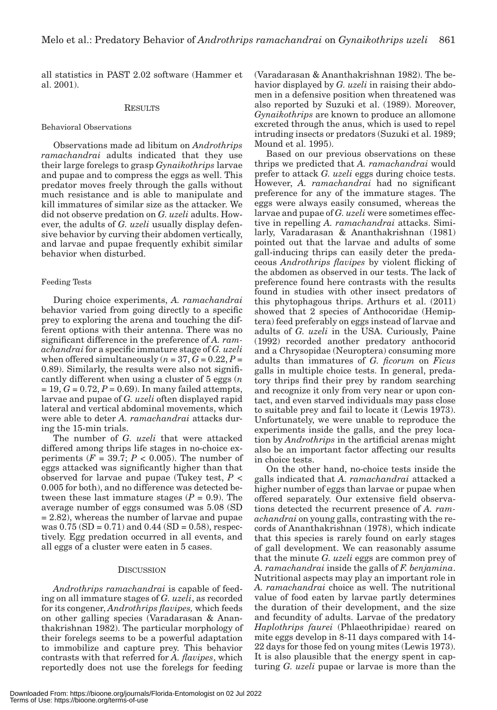all statistics in PAST 2.02 software (Hammer et al. 2001).

#### **RESULTS**

## Behavioral Observations

Observations made ad libitum on *Androthrips ramachandrai* adults indicated that they use their large forelegs to grasp *Gynaikothrips* larvae and pupae and to compress the eggs as well. This predator moves freely through the galls without much resistance and is able to manipulate and kill immatures of similar size as the attacker. We did not observe predation on *G. uzeli* adults. However, the adults of *G. uzeli* usually display defensive behavior by curving their abdomen vertically, and larvae and pupae frequently exhibit similar behavior when disturbed.

# Feeding Tests

During choice experiments, *A. ramachandrai* behavior varied from going directly to a specific prey to exploring the arena and touching the different options with their antenna. There was no significant difference in the preference of *A. ramachandrai* for a specific immature stage of *G. uzeli* when offered simultaneously  $(n = 37, G = 0.22, P =$ 0.89). Similarly, the results were also not significantly different when using a cluster of 5 eggs (*n*   $= 19, G = 0.72, P = 0.69$ . In many failed attempts, larvae and pupae of *G. uzeli* often displayed rapid lateral and vertical abdominal movements, which were able to deter *A. ramachandrai* attacks during the 15-min trials.

The number of *G. uzeli* that were attacked differed among thrips life stages in no-choice experiments  $(F = 39.7; P < 0.005)$ . The number of eggs attacked was significantly higher than that observed for larvae and pupae (Tukey test, *P* < 0.005 for both), and no difference was detected between these last immature stages  $(P = 0.9)$ . The average number of eggs consumed was 5.08 (SD = 2.82), whereas the number of larvae and pupae was  $0.75$  (SD = 0.71) and  $0.44$  (SD = 0.58), respectively. Egg predation occurred in all events, and all eggs of a cluster were eaten in 5 cases.

#### **DISCUSSION**

*Androthrips ramachandrai* is capable of feeding on all immature stages of *G. uzeli*, as recorded for its congener, *Androthrips flavipes,* which feeds on other galling species (Varadarasan & Ananthakrishnan 1982). The particular morphology of their forelegs seems to be a powerful adaptation to immobilize and capture prey. This behavior contrasts with that referred for *A. flavipes*, which reportedly does not use the forelegs for feeding

(Varadarasan & Ananthakrishnan 1982). The behavior displayed by *G. uzeli* in raising their abdomen in a defensive position when threatened was also reported by Suzuki et al. (1989). Moreover, *Gynaikothrips* are known to produce an allomone excreted through the anus, which is used to repel intruding insects or predators (Suzuki et al. 1989; Mound et al. 1995).

Based on our previous observations on these thrips we predicted that *A. ramachandrai* would prefer to attack *G. uzeli* eggs during choice tests. However, *A. ramachandrai* had no significant preference for any of the immature stages. The eggs were always easily consumed, whereas the larvae and pupae of *G. uzeli* were sometimes effective in repelling *A. ramachandrai* attacks. Similarly, Varadarasan & Ananthakrishnan (1981) pointed out that the larvae and adults of some gall-inducing thrips can easily deter the predaceous *Androthrips flavipes* by violent flicking of the abdomen as observed in our tests. The lack of preference found here contrasts with the results found in studies with other insect predators of this phytophagous thrips. Arthurs et al. (2011) showed that 2 species of Anthocoridae (Hemiptera) feed preferably on eggs instead of larvae and adults of *G. uzeli* in the USA. Curiously, Paine (1992) recorded another predatory anthocorid and a Chrysopidae (Neuroptera) consuming more adults than immatures of *G. ficorum* on *Ficus*  galls in multiple choice tests. In general, predatory thrips find their prey by random searching and recognize it only from very near or upon contact, and even starved individuals may pass close to suitable prey and fail to locate it (Lewis 1973). Unfortunately, we were unable to reproduce the experiments inside the galls, and the prey location by *Androthrips* in the artificial arenas might also be an important factor affecting our results in choice tests.

On the other hand, no-choice tests inside the galls indicated that *A. ramachandrai* attacked a higher number of eggs than larvae or pupae when offered separately. Our extensive field observations detected the recurrent presence of *A. ramachandrai* on young galls, contrasting with the records of Ananthakrishnan (1978), which indicate that this species is rarely found on early stages of gall development. We can reasonably assume that the minute *G. uzeli* eggs are common prey of *A. ramachandrai* inside the galls of *F. benjamina*. Nutritional aspects may play an important role in *A. ramachandrai* choice as well. The nutritional value of food eaten by larvae partly determines the duration of their development, and the size and fecundity of adults. Larvae of the predatory *Haplothrips faurei* (Phlaeothripidae) reared on mite eggs develop in 8-11 days compared with 14- 22 days for those fed on young mites (Lewis 1973). It is also plausible that the energy spent in capturing *G. uzeli* pupae or larvae is more than the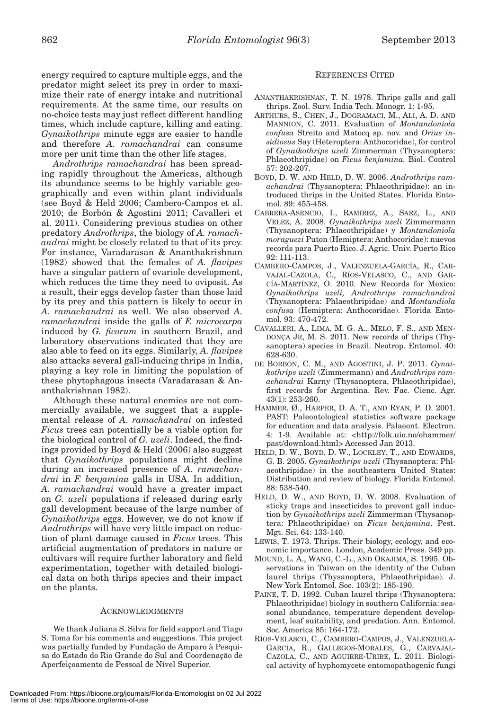energy required to capture multiple eggs, and the predator might select its prey in order to maximize their rate of energy intake and nutritional requirements. At the same time, our results on no-choice tests may just reflect different handling times, which include capture, killing and eating. *Gynaikothrips* minute eggs are easier to handle and therefore *A. ramachandrai* can consume more per unit time than the other life stages.

*Androthrips ramachandrai* has been spreading rapidly throughout the Americas, although its abundance seems to be highly variable geographically and even within plant individuals (see Boyd & Held 2006; Cambero-Campos et al. 2010; de Borbón & Agostini 2011; Cavalleri et al. 2011). Considering previous studies on other predatory *Androthrips*, the biology of *A. ramachandrai* might be closely related to that of its prey. For instance, Varadarasan & Ananthakrishnan (1982) showed that the females of *A. flavipes* have a singular pattern of ovariole development, which reduces the time they need to oviposit. As a result, their eggs develop faster than those laid by its prey and this pattern is likely to occur in *A. ramachandrai* as well. We also observed *A. ramachandrai* inside the galls of *F. microcarpa* induced by *G. ficorum* in southern Brazil, and laboratory observations indicated that they are also able to feed on its eggs. Similarly, *A. flavipes* also attacks several gall-inducing thrips in India, playing a key role in limiting the population of these phytophagous insects (Varadarasan & Ananthakrishnan 1982).

Although these natural enemies are not commercially available, we suggest that a supplemental release of *A. ramachandrai* on infested *Ficus* trees can potentially be a viable option for the biological control of *G. uzeli*. Indeed, the findings provided by Boyd & Held (2006) also suggest that *Gynaikothrips* populations might decline during an increased presence of *A. ramachandrai* in *F. benjamina* galls in USA. In addition, *A. ramachandrai* would have a greater impact on *G. uzeli* populations if released during early gall development because of the large number of *Gynaikothrips* eggs. However, we do not know if *Androthrips* will have very little impact on reduction of plant damage caused in *Ficus* trees. This artificial augmentation of predators in nature or cultivars will require further laboratory and field experimentation, together with detailed biological data on both thrips species and their impact on the plants.

# ACKNOWLEDGMENTS

We thank Juliana S. Silva for field support and Tiago S. Toma for his comments and suggestions. This project was partially funded by Fundação de Amparo à Pesquisa do Estado do Rio Grande do Sul and Coordenação de Aperfeiçoamento de Pessoal de Nível Superior.

# REFERENCES CITED

- ANANTHAKRISHNAN, T. N. 1978. Thrips galls and gall thrips. Zool. Surv. India Tech. Monogr. 1: 1-95.
- ARTHURS, S., CHEN, J., DOGRAMACI, M., ALI, A. D. AND MANNION, C. 2011. Evaluation of *Montandoniola confusa* Streito and Matocq sp. nov. and *Orius insidiosus* Say (Heteroptera: Anthocoridae), for control of *Gynaikothrips uzeli* Zimmerman (Thysanoptera: Phlaeothripidae) on *Ficus benjamina.* Biol. Control 57: 202-207.
- BOYD, D. W. AND HELD, D. W. 2006. *Androthrips ramachandrai* (Thysanoptera: Phlaeothripidae): an introduced thrips in the United States. Florida Entomol. 89: 455-458.
- CABRERA-ASENCIO, I., RAMIREZ, A., SAEZ, L., AND VELEZ, A. 2008. *Gynaikothrips uzeli* Zimmermann (Thysanoptera: Phlaeothripidae) y *Montandoniola moraguezi* Puton (Hemiptera: Anthocoridae): nuevos records para Puerto Rico. J. Agric. Univ. Puerto Rico 92: 111-113.
- CAMBERO-CAMPOS, J., VALENZUELA-GARCÍA, R., CAR-VAJAL-CAZOLA, C., RÍOS-VELASCO, C., AND GAR-CÍA-MARTÍNEZ, O. 2010. New Records for Mexico: *Gynaikothrips uzeli, Androthrips ramachandrai*  (Thysanoptera: Phlaeothripidae) and *Montandiola confusa* (Hemiptera: Anthocoridae). Florida Entomol. 93: 470-472.
- CAVALLERI, A., LIMA, M. G. A., MELO, F. S., AND MEN-DONÇA JR, M. S. 2011. New records of thrips (Thysanoptera) species in Brazil. Neotrop. Entomol. 40: 628-630.
- DE BORBÓN, C. M., AND AGOSTINI, J. P. 2011. *Gynaikothrips uzeli* (Zimmermann) and *Androthrips ramachandrai* Karny (Thysanoptera, Phlaeothripidae), first records for Argentina. Rev. Fac. Cienc. Agr. 43(1): 253-260.
- HAMMER, Ø., HARPER, D. A. T., AND RYAN, P. D. 2001. PAST: Paleontological statistics software package for education and data analysis. Palaeont. Electron. 4: 1-9. Available at: <http://folk.uio.no/ohammer/ past/download.html> Accessed Jan 2013.
- HELD, D. W., BOYD, D. W., LOCKLEY, T., AND EDWARDS, G. B. 2005. *Gynaikothrips uzeli* (Thysanoptera: Phlaeothripidae) in the southeastern United States: Distribution and review of biology. Florida Entomol. 88: 538-540.
- HELD, D. W., AND BOYD, D. W. 2008. Evaluation of sticky traps and insecticides to prevent gall induction by *Gynaikothrips uzeli* Zimmerman (Thysanoptera: Phlaeothripidae) on *Ficus benjamina*. Pest. Mgt. Sci. 64: 133-140.
- LEWIS, T. 1973. Thrips. Their biology, ecology, and economic importance. London, Academic Press. 349 pp.
- MOUND, L. A., WANG, C.-L., AND OKAJIMA, S. 1995. Observations in Taiwan on the identity of the Cuban laurel thrips (Thysanoptera, Phlaeothripidae). J. New York Entomol. Soc. 103(2): 185-190.
- PAINE, T. D. 1992. Cuban laurel thrips (Thysanoptera: Phlaeothripidae) biology in southern California: seasonal abundance, temperature dependent development, leaf suitability, and predation. Ann. Entomol. Soc. America 85: 164-172.
- RÍOS-VELASCO, C., CAMBERO-CAMPOS, J., VALENZUELA-GARCÍA, R., GALLEGOS-MORALES, G., CARVAJAL-CAZOLA, C., AND AGUIRRE-URIBE, L. 2011. Biological activity of hyphomycete entomopathogenic fungi